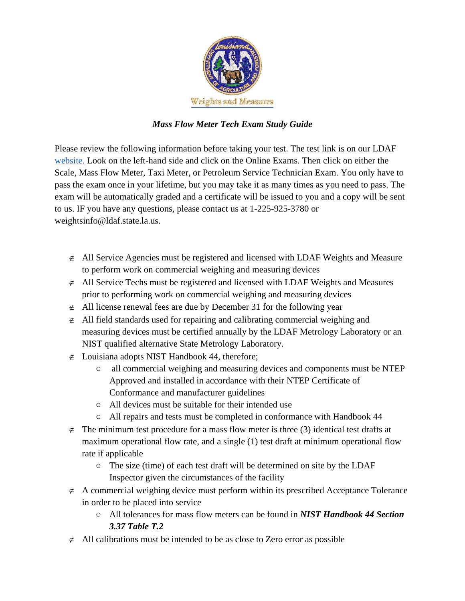

## *Mass Flow Meter Tech Exam Study Guide*

Please review the following information before taking your test. The test link is on our LDAF [website.](https://www.ldaf.state.la.us/consumers/consumer-protection-weights-and-measures/) Look on the left-hand side and click on the Online Exams. Then click on either the Scale, Mass Flow Meter, Taxi Meter, or Petroleum Service Technician Exam. You only have to pass the exam once in your lifetime, but you may take it as many times as you need to pass. The exam will be automatically graded and a certificate will be issued to you and a copy will be sent to us. IF you have any questions, please contact us at 1-225-925-3780 or weightsinfo@ldaf.state.la.us.

- $\epsilon$  All Service Agencies must be registered and licensed with LDAF Weights and Measure to perform work on commercial weighing and measuring devices
- $\epsilon$  All Service Techs must be registered and licensed with LDAF Weights and Measures prior to performing work on commercial weighing and measuring devices
- $\neq$  All license renewal fees are due by December 31 for the following year
- $\epsilon$  All field standards used for repairing and calibrating commercial weighing and measuring devices must be certified annually by the LDAF Metrology Laboratory or an NIST qualified alternative State Metrology Laboratory.
- $\epsilon$  Louisiana adopts NIST Handbook 44, therefore;
	- all commercial weighing and measuring devices and components must be NTEP Approved and installed in accordance with their NTEP Certificate of Conformance and manufacturer guidelines
	- All devices must be suitable for their intended use
	- All repairs and tests must be completed in conformance with Handbook 44
- $\neq$  The minimum test procedure for a mass flow meter is three (3) identical test drafts at maximum operational flow rate, and a single (1) test draft at minimum operational flow rate if applicable
	- The size (time) of each test draft will be determined on site by the LDAF Inspector given the circumstances of the facility
- $\epsilon$  A commercial weighing device must perform within its prescribed Acceptance Tolerance in order to be placed into service
	- All tolerances for mass flow meters can be found in *NIST Handbook 44 Section 3.37 Table T.2*
- $\neq$  All calibrations must be intended to be as close to Zero error as possible